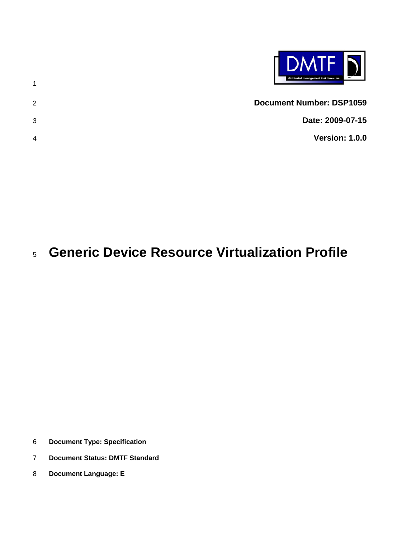|               | <b>DMTF</b><br>distributed management task force, inc. |
|---------------|--------------------------------------------------------|
| $\mathcal{P}$ | <b>Document Number: DSP1059</b>                        |
| 3             | Date: 2009-07-15                                       |
| 4             | <b>Version: 1.0.0</b>                                  |

# **Generic Device Resource Virtualization Profile**

**Document Type: Specification** 

- **Document Status: DMTF Standard**
- **Document Language: E**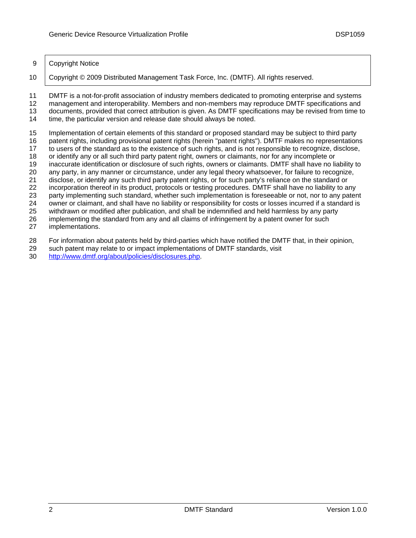### 9 Copyright Notice

10 Copyright © 2009 Distributed Management Task Force, Inc. (DMTF). All rights reserved.

11 DMTF is a not-for-profit association of industry members dedicated to promoting enterprise and systems

12 management and interoperability. Members and non-members may reproduce DMTF specifications and 13 documents, provided that correct attribution is given. As DMTF specifications may be revised from time to 14

time, the particular version and release date should always be noted.

15 Implementation of certain elements of this standard or proposed standard may be subject to third party

16 patent rights, including provisional patent rights (herein "patent rights"). DMTF makes no representations

17 to users of the standard as to the existence of such rights, and is not responsible to recognize, disclose,

18 or identify any or all such third party patent right, owners or claimants, nor for any incomplete or

19 inaccurate identification or disclosure of such rights, owners or claimants. DMTF shall have no liability to 20 any party, in any manner or circumstance, under any legal theory whatsoever, for failure to recognize,

21 disclose, or identify any such third party patent rights, or for such party's reliance on the standard or

22 incorporation thereof in its product, protocols or testing procedures. DMTF shall have no liability to any

23 party implementing such standard, whether such implementation is foreseeable or not, nor to any patent

24 owner or claimant, and shall have no liability or responsibility for costs or losses incurred if a standard is

25 vithdrawn or modified after publication, and shall be indemnified and held harmless by any party

26 implementing the standard from any and all claims of infringement by a patent owner for such

27 implementations.

28 For information about patents held by third-parties which have notified the DMTF that, in their opinion,

- 29 such patent may relate to or impact implementations of DMTF standards, visit
- 30 http://www.dmtf.org/about/policies/disclosures.php.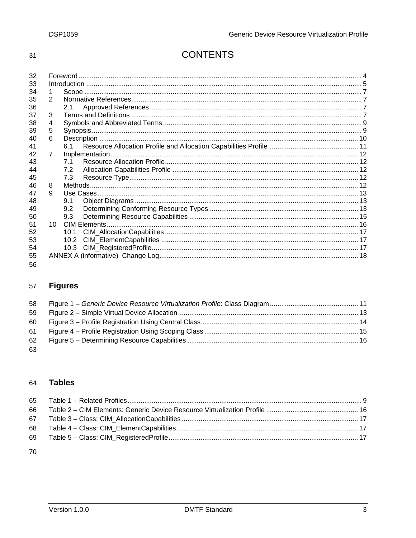$31$ 

# **CONTENTS**

| 32 |   |      |  |  |  |  |
|----|---|------|--|--|--|--|
| 33 |   |      |  |  |  |  |
| 34 |   |      |  |  |  |  |
| 35 | 2 |      |  |  |  |  |
| 36 |   | 2.1  |  |  |  |  |
| 37 | 3 |      |  |  |  |  |
| 38 | 4 |      |  |  |  |  |
| 39 | 5 |      |  |  |  |  |
| 40 | 6 |      |  |  |  |  |
| 41 |   | 61   |  |  |  |  |
| 42 | 7 |      |  |  |  |  |
| 43 |   | 71   |  |  |  |  |
| 44 |   | 7.2  |  |  |  |  |
| 45 |   | 7.3  |  |  |  |  |
| 46 | 8 |      |  |  |  |  |
| 47 | 9 |      |  |  |  |  |
| 48 |   | 9.1  |  |  |  |  |
| 49 |   | 9.2  |  |  |  |  |
| 50 |   | 9.3  |  |  |  |  |
| 51 |   |      |  |  |  |  |
| 52 |   | 10 1 |  |  |  |  |
| 53 |   | 10.2 |  |  |  |  |
| 54 |   |      |  |  |  |  |
| 55 |   |      |  |  |  |  |
| 56 |   |      |  |  |  |  |

#### **Figures** 57

| 58 |  |
|----|--|
| 59 |  |
| 60 |  |
| 61 |  |
| 62 |  |
| 63 |  |

#### **Tables** 64

70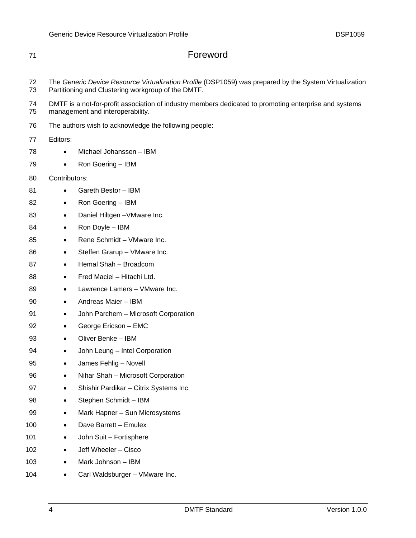| 71       | Foreword                                                                                                                                   |  |  |  |  |
|----------|--------------------------------------------------------------------------------------------------------------------------------------------|--|--|--|--|
| 72       | The Generic Device Resource Virtualization Profile (DSP1059) was prepared by the System Virtualization                                     |  |  |  |  |
| 73       | Partitioning and Clustering workgroup of the DMTF.                                                                                         |  |  |  |  |
| 74<br>75 | DMTF is a not-for-profit association of industry members dedicated to promoting enterprise and systems<br>management and interoperability. |  |  |  |  |
| 76       | The authors wish to acknowledge the following people:                                                                                      |  |  |  |  |
| 77       | Editors:                                                                                                                                   |  |  |  |  |
| 78       | Michael Johanssen - IBM<br>$\bullet$                                                                                                       |  |  |  |  |
| 79       | Ron Goering - IBM<br>$\bullet$                                                                                                             |  |  |  |  |
| 80       | Contributors:                                                                                                                              |  |  |  |  |
| 81       | Gareth Bestor - IBM<br>$\bullet$                                                                                                           |  |  |  |  |
| 82       | Ron Goering - IBM<br>$\bullet$                                                                                                             |  |  |  |  |
| 83       | Daniel Hiltgen - VMware Inc.<br>$\bullet$                                                                                                  |  |  |  |  |
| 84       | Ron Doyle - IBM<br>$\bullet$                                                                                                               |  |  |  |  |
| 85       | Rene Schmidt - VMware Inc.<br>$\bullet$                                                                                                    |  |  |  |  |
| 86       | Steffen Grarup - VMware Inc.<br>$\bullet$                                                                                                  |  |  |  |  |
| 87       | Hemal Shah - Broadcom<br>$\bullet$                                                                                                         |  |  |  |  |
| 88       | Fred Maciel - Hitachi Ltd.<br>٠                                                                                                            |  |  |  |  |
| 89       | Lawrence Lamers - VMware Inc.<br>$\bullet$                                                                                                 |  |  |  |  |
| 90       | Andreas Maier - IBM<br>$\bullet$                                                                                                           |  |  |  |  |
| 91       | John Parchem - Microsoft Corporation<br>$\bullet$                                                                                          |  |  |  |  |
| 92       | George Ericson - EMC<br>$\bullet$                                                                                                          |  |  |  |  |
| 93       | Oliver Benke - IBM<br>$\bullet$                                                                                                            |  |  |  |  |
| 94       | John Leung - Intel Corporation<br>$\bullet$                                                                                                |  |  |  |  |
| 95       | James Fehlig - Novell<br>٠                                                                                                                 |  |  |  |  |
| 96       | Nihar Shah - Microsoft Corporation<br>$\bullet$                                                                                            |  |  |  |  |
| 97       | Shishir Pardikar - Citrix Systems Inc.<br>٠                                                                                                |  |  |  |  |
| 98       | Stephen Schmidt - IBM                                                                                                                      |  |  |  |  |
| 99       | Mark Hapner - Sun Microsystems<br>$\bullet$                                                                                                |  |  |  |  |
| 100      | Dave Barrett - Emulex<br>$\bullet$                                                                                                         |  |  |  |  |
| 101      | John Suit - Fortisphere<br>$\bullet$                                                                                                       |  |  |  |  |
| 102      | Jeff Wheeler - Cisco<br>$\bullet$                                                                                                          |  |  |  |  |
| 103      | Mark Johnson - IBM<br>٠                                                                                                                    |  |  |  |  |

104 • Carl Waldsburger – VMware Inc.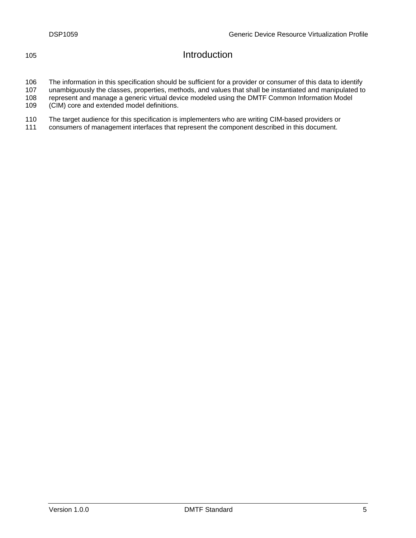# 105 Introduction

106 The information in this specification should be sufficient for a provider or consumer of this data to identify

107 unambiguously the classes, properties, methods, and values that shall be instantiated and manipulated to

108 represent and manage a generic virtual device modeled using the DMTF Common Information Model 109 (CIM) core and extended model definitions.

110 The target audience for this specification is implementers who are writing CIM-based providers or 111 consumers of management interfaces that represent the component described in this document.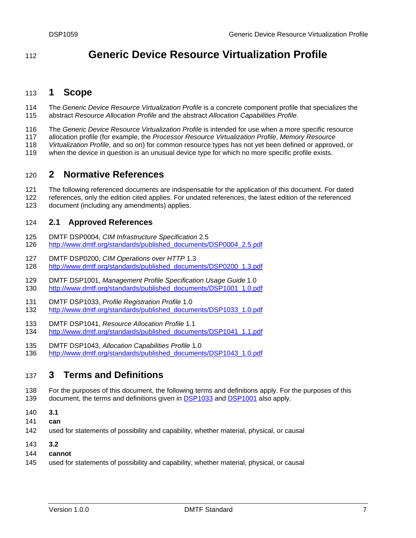# <span id="page-6-0"></span><sup>112</sup>**Generic Device Resource Virtualization Profile**

#### 113 **1 Scope**

- 114 The *Generic Device Resource Virtualization Profile* is a concrete component profile that specializes the 115 *ofile*. abstract *Resource Allocation Profile* and the abstract *Allocation Capabilities Pr*
- 116 The *Generic Device Resource Virtualization Profile* is intended for use when a more specific resource
- 117 allocation profile (for example, the *Processor Resource Virtualization Profile*, *Memory Resource*
- 118 Virtualization Profile, and so on) for common resource types has not yet been defined or approved, or
- 119 when the device in question is an unusual device type for which no more specific profile exists.

#### 120 **2 Normative References**

- 121 The following referenced documents are indispensable for the application of this document. For dated
- 122 references, only the edition cited applies. For undated references, the latest edition of the referenced 123 document (including any amendments) applies.

#### 124 **2.1 Approved References**

- 125 DMTF DSP0004, *CIM Infrastructure Specification* 2.5
- 126 [http://www.dmtf.org/standards/published\\_documents/DSP](http://www.dmtf.org/standards/published_documents/DSP1001_1.0.pdf)0004\_2.5.pdf
- 127 DMTF DSP0200, *CIM Operations over HTTP* 1.3
- 128 [http://www.dmtf.org/standards/publishe](http://www.dmtf.org/standards/published_documents/DSP1041_1.1.pdf)d\_documents/DSP0200\_1.3.pdf
- 129 DMTF DSP1001, [Management Profile Specification Usage](http://www.dmtf.org/standards/published_documents/DSP1041_1.1.pdf) Guide 1.0 130 [http://www.dmtf.org/standards/published\\_](http://www.dmtf.org/standards/published_documents/DSP1043_1.0.pdf)documents/DSP1001\_1.0.pdf
- 131 DMTF DSP1033, *Profile Registration Profile* 1.0
- http://www.dmtf.org/standards/published\_documents/DSP1033\_1.0.pdf 132
- 133 DMTF DSP1041, *Resource Allocation Profile* 1.1
- 134 [http://www.dmtf.org/standards/published\\_documents/DSP1041\\_1.1.pdf](#page-6-0)
- 135 DMTF DSP1043, Allocation Capabilities Profile 1.0
- http://www.dmtf.org/standards/published\_documents/DSP1043\_1.0.pdf 136

# 137 3 Terms and Definitions

- 138 For the purposes of this document, the following terms and definitions apply. For the purposes of this 139 document, the terms and definitions given in **DSP1033** and DSP1001 also apply.
- 140 **3.1**
- 141 **can**
- 142 used for statements of possibility and capability, whether material, physical, or causal
- 143 **3.2**
- 144 **cannot**
- 145 used for statements of possibility and capability, whether material, physical, or causal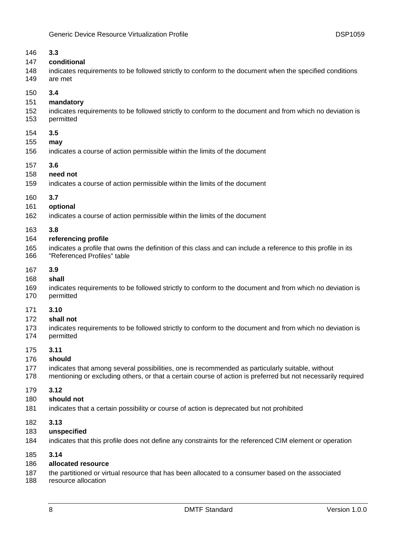| 146 | 3.3                                                                                                           |
|-----|---------------------------------------------------------------------------------------------------------------|
| 147 | conditional                                                                                                   |
| 148 | indicates requirements to be followed strictly to conform to the document when the specified conditions       |
| 149 | are met                                                                                                       |
| 150 | 3.4                                                                                                           |
| 151 | mandatory                                                                                                     |
| 152 | indicates requirements to be followed strictly to conform to the document and from which no deviation is      |
| 153 | permitted                                                                                                     |
| 154 | 3.5                                                                                                           |
| 155 | may                                                                                                           |
| 156 | indicates a course of action permissible within the limits of the document                                    |
| 157 | 3.6                                                                                                           |
| 158 | need not                                                                                                      |
| 159 | indicates a course of action permissible within the limits of the document                                    |
| 160 | 3.7                                                                                                           |
| 161 | optional                                                                                                      |
| 162 | indicates a course of action permissible within the limits of the document                                    |
| 163 | 3.8                                                                                                           |
| 164 | referencing profile                                                                                           |
| 165 | indicates a profile that owns the definition of this class and can include a reference to this profile in its |
| 166 | "Referenced Profiles" table                                                                                   |
| 167 | 3.9                                                                                                           |
| 168 | shall                                                                                                         |
| 169 | indicates requirements to be followed strictly to conform to the document and from which no deviation is      |
| 170 | permitted                                                                                                     |
| 171 | 3.10                                                                                                          |
| 172 | shall not                                                                                                     |
| 173 | indicates requirements to be followed strictly to conform to the document and from which no deviation is      |
| 174 | permitted                                                                                                     |
| 175 | 3.11                                                                                                          |
| 176 | should                                                                                                        |
| 177 | indicates that among several possibilities, one is recommended as particularly suitable, without              |
| 178 | mentioning or excluding others, or that a certain course of action is preferred but not necessarily required  |
| 179 | 3.12                                                                                                          |
| 180 | should not                                                                                                    |
| 181 | indicates that a certain possibility or course of action is deprecated but not prohibited                     |
| 182 | 3.13                                                                                                          |
| 183 | unspecified                                                                                                   |
| 184 | indicates that this profile does not define any constraints for the referenced CIM element or operation       |
| 185 | 3.14                                                                                                          |

# 186 **allocated resource**

- 187 the partitioned or virtual resource that has been allocated to a consumer based on the associated
- 188 resource allocation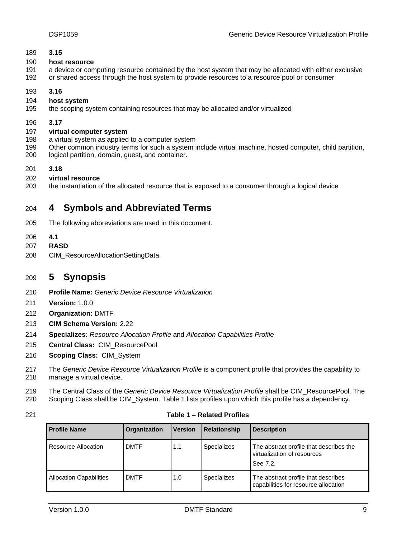### <span id="page-8-0"></span>189 **3.15**

#### 190 **host resource**

- 191 a device or computing resource contained by the host system that may be allocated with either exclusive
- 192 or shared access through the host system to provide resources to a resource pool or consumer
- 193 **3.16**
- 194 **host system**
- 195 the scoping system containing resources that may be allocated and/or virtualized
- 196 **3.17**

#### 197 **virtual computer system**

- 198 a virtual system as applied to a computer system
- 199 Other common industry terms for such a system include virtual machine, hosted computer, child partition,
- 200 logical partition, domain, guest, and container.
- 201 **3.18**
- 202 **virtual resource**
- 203 the instantiation of the allocated resource that is exposed to a consumer through a logical device

#### 204 **Symbols and Abbreviated Terms 4**

- 205 The following abbreviations are used in this document.
- 206 **4.1**
- 207 **RASD**
- 208 CIM\_ResourceAllocationSettingData

#### 209 **5 Synopsis**

- 210 *e Resource Virtualization* **Profile Name:** *Generic Devic*
- 211 **Version:** 1.0.0
- 212 **Organization:** DMTF
- 213 **CIM Schema Version:** 2.22
- 214 **Specializes:** *Resource Allocation Profile* and *Allocation Capabilities Profile*
- 215 **Central Class:** CIM\_Resourc ePool
- 216 **Scoping Class: CIM\_System**
- 217 The *Generic Device Resource Virtualization Profile* is a component profile that provides the capability to 218 manage a virtual device.
- 219 The Central Class of the *Generic Device Resource Virtualization Profile* shall be CIM\_ResourcePool. The 220 Scoping Class shall be CIM\_System. Table 1 lists profiles upon which this profile has a dependency.
- 

### 221 **Table 1 – Related Profiles**

| <b>Profile Name</b>            | Organization | <b>Version</b> | <b>Relationship</b> | <b>Description</b>                                                                 |
|--------------------------------|--------------|----------------|---------------------|------------------------------------------------------------------------------------|
| Resource Allocation            | <b>DMTF</b>  | 1.1            | <b>Specializes</b>  | The abstract profile that describes the<br>virtualization of resources<br>See 7.2. |
| <b>Allocation Capabilities</b> | <b>DMTF</b>  | 1.0            | <b>Specializes</b>  | The abstract profile that describes<br>capabilities for resource allocation        |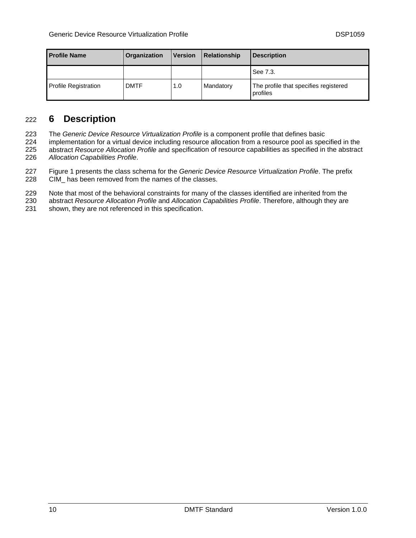<span id="page-9-0"></span>

| <b>Profile Name</b>         | <b>Organization</b> | <b>Version</b> | <b>Relationship</b> | <b>Description</b>                                |
|-----------------------------|---------------------|----------------|---------------------|---------------------------------------------------|
|                             |                     |                |                     | See 7.3.                                          |
| <b>Profile Registration</b> | <b>DMTF</b>         | 1.0            | Mandatory           | The profile that specifies registered<br>profiles |

#### **6 Description**  222

223 The *Generic Device Resource Virtualization Profile* is a component profile that defines basic

224 implementation for a virtual device including resource allocation from a resource pool as specified in the 225 abstract *Resource Allocation Profile* and specification of resource capabilities as specified in the abstract 226 *Allocation Capabilities Profile*.

227 Figure 1 presents the class schema for the *Generic Device Resource Virtualization Profile*. The prefix 228 CIM\_ has been removed from the names of the classes.

229 Note that most of the behavioral constraints for many of the classes identified are inherited from the

230 abstract *Resource Allocation Profile* and *Allocation Capabilities Profile*. Therefore, although they are

231 shown, they are not referenced in this specification.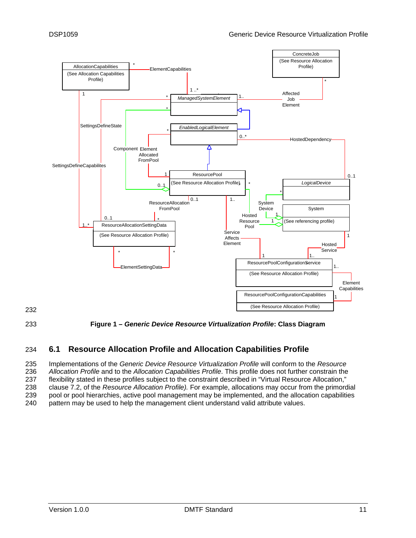<span id="page-10-0"></span>

232



233 **iagram Figure 1 –** *Generic Device Resource Virtualization Profile***: Class D**

# 234 **6.1 Resource Allocation Profile and Allocation Capabilities Profile**

235 Implementations of the *Generic Device Resource Virtualization Profile* will conform to the *Resource*  236 *Allocation Profile* and to the *Allocation Capabilities Profile*. This profile does not further constrain the 237 flexibility stated in these profiles subject to the constraint described in "Virtual Resource Allocation," 238 clause 7.2, of the *Resource Allocation Profile).* For example, allocations may occur from the primordial 239 pool or pool hierarchies, active pool management may be implemented, and the allocation capabilities 240 pattern may be used to help the management client understand valid attribute values.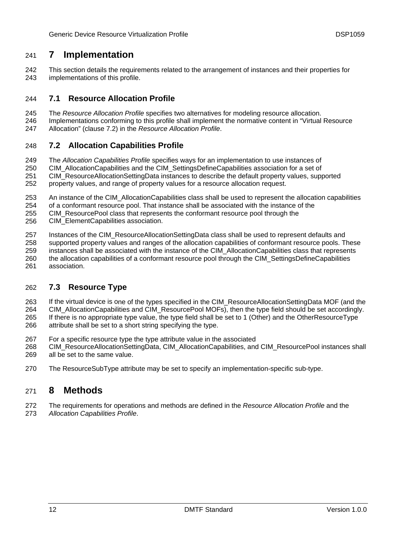#### <span id="page-11-0"></span>**7 Implementation**  241

242 This section details the requirements related to the arrangement of instances and their properties for 243 implementations of this profile.

#### 244 **7.1 Resource Allocation Profile**

- 245 The *Resource Allocation Profile* specifies two alternatives for modeling resource allocation.
- 246 Implementations conforming to this profile shall implement the normative content in "Virtual Resource
- 247 Allocation" (clause 7.2) in the *Resource Allocation Profile*.

#### 248 **7.2 Allocation Capabilities Profile**

- 249 The *Allocation Capabilities Profile* specifies ways for an implementation to use instances of
- 250 CIM\_AllocationCapabilities and the CIM\_SettingsDefineCapabilities association for a set of
- 251 CIM\_ResourceAllocationSettingData instances to describe the default property values, supported
- 252 property values, and range of property values for a resource allocation request.
- 253 An instance of the CIM\_AllocationCapabilities class shall be used to represent the allocation capabilities
- 254 of a conformant resource pool. That instance shall be associated with the instance of the
- 255 CIM\_ResourcePool class that represents the conformant resource pool through the
- 256 CIM\_ElementCapabilities association.
- 257 Instances of the CIM\_ResourceAllocationSettingData class shall be used to represent defaults and
- 258 supported property values and ranges of the allocation capabilities of conformant resource pools. These
- 259 instances shall be associated with the instance of the CIM\_AllocationCapabilities class that represents
- 260 the allocation capabilities of a conformant resource pool through the CIM\_SettingsDefineCapabilities
- 261 association.

#### 262 **7.3 Resource Type**

- 263 If the virtual device is one of the types specified in the CIM\_ResourceAllocationSettingData MOF (and the
- 264 CIM\_AllocationCapabilities and CIM\_ResourcePool MOFs), then the type field should be set accordingly.
- 265 If there is no appropriate type value, the type field shall be set to 1 (Other) and the OtherResourceType 266 attribute shall be set to a short string specifying the type.
- 267 For a specific resource type the type attribute value in the associated
- 268 CIM\_ResourceAllocationSettingData, CIM\_AllocationCapabilities, and CIM\_ResourcePool instances shall 269 all be set to the same value.
- 270 The ResourceSubType attribute may be set to specify an implementation-specific sub-type.

# 271 **8 Methods**

272 The requirements for operations and methods are defined in the *Resource Allocation Profile* and the 273 *Allocation Capabilities Profile*.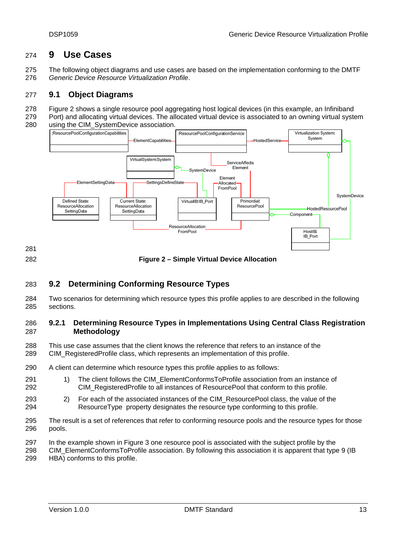#### <span id="page-12-0"></span>**9 Use Cases**  274

275 The following object diagrams and use cases are based on the implementation conforming to the DMTF 276 Generic Device Resource Virtualization Profile.

#### 277 **9.1 Object Diagrams**

- 278 Figure 2 shows a single resource pool aggregating host logical devices (in this example, an Infiniband
- 279 Port) and allocating virtual devices. The allocated virtual device is associated to an owning virtual system 280 using the CIM\_SystemDevice association.



<span id="page-12-1"></span>281 282

**Figure 2 – Simple Virtual Device Allocation** 

#### 283 **9.2 Determining Conforming Resource Types**

284 Two scenarios for determining which resource types this profile applies to are described in the following 285 sections.

## 286 9.2.1 Determining Resource Types in Implementations Using Central Class Registration 287 **Methodology**

- 288 This use case assumes that the client knows the reference that refers to an instance of the
- 289 CIM\_RegisteredProfile class, which represents an implementation of this profile.
- 290 A client can determine which resource types this profile applies to as follows:
- 291 1) The client follows the CIM\_ElementConformsToProfile association from an instance of 292 CIM\_RegisteredProfile to all instances of ResourcePool that conform to this profile.
- 293 2) For each of the associated instances of the CIM\_ResourcePool class, the value of the 294 ResourceType property designates the resource type conforming to this profile.
- 295 The result is a set of references that refer to conforming resource pools and the resource types for those 296 pools.
- 297 In the example shown in Figure 3 one resource pool is associated with the subject profile by the
- 298 CIM\_ElementConformsToProfile association. By following this association it is apparent that type 9 (IB

299 HBA) conforms to this profile.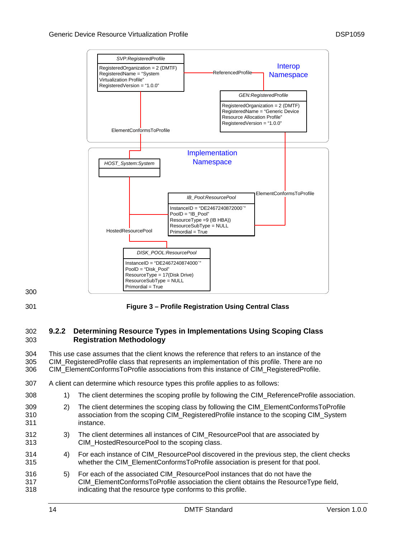

300

# 301 **lass Figure 3 – Profile Registration Using Central C**

## **302 9.2.2 Determining Resource Types in Implementations Using Scoping Class** 303 **Registration Methodology**

304 This use case assumes that the client knows the reference that refers to an instance of the 305 CIM\_RegisteredProfile class that represents an implementation of this profile. There are no 306 CIM\_ElementConformsToProfile associations from this instance of CIM\_RegisteredProfile.

# 307 A client can determine which resource types this profile applies to as follows:

- 308 1) The client determines the scoping profile by following the CIM\_ReferenceProfile association.
- 309 2) The client determines the scoping class by following the CIM\_ElementConformsToProfile 310 310 association from the scoping CIM\_RegisteredProfile instance to the scoping CIM\_System 311 instance.
- 312 3) The client determines all instances of CIM\_ResourcePool that are associated by 313 CIM\_HostedResourcePool to the scoping class.
- 314 4) For each instance of CIM\_ResourcePool discovered in the previous step, the client checks 315 whether the CIM\_ElementConformsToProfile association is present for that pool.
- 316 5) For each of the associated CIM\_ResourcePool instances that do not have the 317 CIM\_ElementConformsToProfile association the client obtains the ResourceType field, 318 indicating that the resource type conforms to this profile.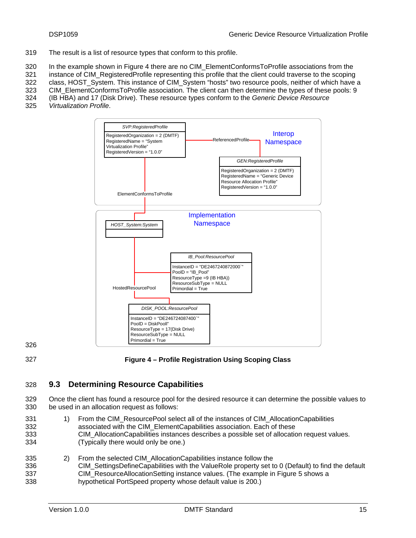<span id="page-14-0"></span>The result is a list of resource types that conform to this profile. 319

320 In the example shown in Figure 4 there are no CIM\_ElementConformsToProfile associations from the

321 instance of CIM\_RegisteredProfile representing this profile that the client could traverse to the scoping

322 class, HOST\_System. This instance of CIM\_System "hosts" two resource pools, neither of which have a

323 CIM\_ElementConformsToProfile association. The client can then determine the types of these pools: 9 324 (IB HBA) and 17 (Disk Drive). These resource types conform to the *Generic Device Resource* 

325 *Virtualization Profile*.



326

<span id="page-14-1"></span>327

### **Figure 4 – Profile Registration Using Scoping Class**

#### 328 **9.3 Determining Resource Capabilities**

329 Once the client has found a resource pool for the desired resource it can determine the possible values to 330 be us ed in an allocation request as follows:

- 331 1) From the CIM\_ResourcePool select all of the instances of CIM\_AllocationCapabilities 332 associated with the CIM\_ElementCapabilities association. Each of these 333 CIM\_AllocationCapabilities instances describes a possible set of allocation request values. 334 (Typically there would only be one.)
- 335 2) From the selected CIM\_AllocationCapabilities instance follow the 336 CIM\_SettingsDefineCapabilities with the ValueRole property set to 0 (Default) to find the default 337 CIM\_ResourceAllocationSetting instance values. (The example in Figure 5 shows a 338 hypothetical PortSpeed property whose default value is 200.)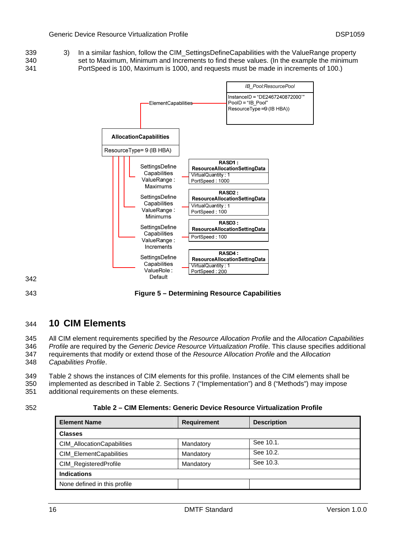<span id="page-15-0"></span>339 339 and Similar fashion, follow the CIM\_SettingsDefineCapabilities with the ValueRange property 340 Set to Maximum, Minimum and Increments to find these values. (In the example the minimum 341 PortSpeed is 100, Maximum is 1000, and requests must be made in increments of 100.)



342

343

**Figure 5 – Determining Resource Capabilities** 

#### 344 **10 CIM Elements**

345 All CIM element requirements specified by the *Resource Allocation Profile* and the Allocation Capabilities

346 Profile are required by the *Generic Device Resource Virtualization Profile*. This clause specifies additional

347 requirements that modify or extend those of the *Resource Allocation Profile* and the *Allocation* 

348 Capabilities Profile.

349 Table 2 shows the instances of CIM elements for this profile. Instances of the CIM elements shall be

350 implemented as described in Table 2. Sections 7 ("Implementation") and 8 ("Methods") may impose

351 additional requirements on these elements.

### 352 **2 – CIM Elements: Generic Dev urce Virtualization Profile Table ice Reso**

| <b>Element Name</b>               | <b>Requirement</b> | <b>Description</b> |
|-----------------------------------|--------------------|--------------------|
| <b>Classes</b>                    |                    |                    |
| <b>CIM AllocationCapabilities</b> | Mandatory          | See 10.1.          |
| CIM_ElementCapabilities           | Mandatory          | See 10.2.          |
| CIM_RegisteredProfile             | Mandatory          | See 10.3.          |
| <b>Indications</b>                |                    |                    |
| None defined in this profile      |                    |                    |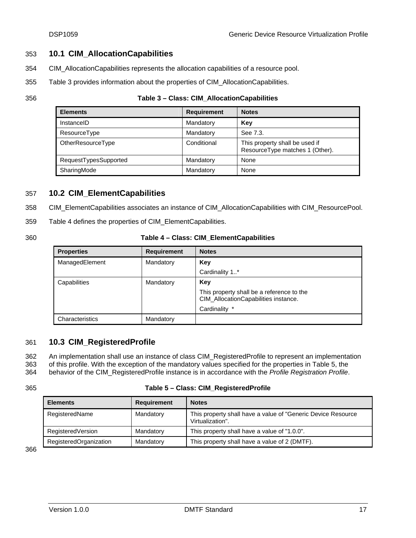# <span id="page-16-0"></span>353 **10.1 CIM\_AllocationCapabilities**

- 354 CIM\_AllocationCapabilities represents the allocation capabilities of a resource pool.
- 355 Table 3 provides information about the properties of CIM\_AllocationCapabilities.
- 

### 356 **Table 3 – Class: CIM\_ AllocationCapabilities**

| <b>Elements</b>       | <b>Requirement</b> | <b>Notes</b>                                                      |
|-----------------------|--------------------|-------------------------------------------------------------------|
| InstanceID            | Mandatory          | Key                                                               |
| <b>ResourceType</b>   | Mandatory          | See 7.3.                                                          |
| OtherResourceType     | Conditional        | This property shall be used if<br>ResourceType matches 1 (Other). |
| RequestTypesSupported | Mandatory          | None                                                              |
| SharingMode           | Mandatory          | None                                                              |

# 357 **10.2 CIM\_ElementCapabilities**

- 358 CIM\_ElementCapabilities associates an instance of CIM\_AllocationCapabilities with CIM\_ResourcePool.
- 359 Table 4 defines the properties of CIM\_ElementCapabilities.
- 

### 360 **le 4 ss: CIM\_ElementCapabilities Tab – Cla**

| <b>Properties</b> | <b>Requirement</b> | <b>Notes</b>                                                                      |
|-------------------|--------------------|-----------------------------------------------------------------------------------|
| ManagedElement    | Mandatory          | Key                                                                               |
|                   |                    | Cardinality 1*                                                                    |
| Capabilities      | Mandatory          | Key                                                                               |
|                   |                    | This property shall be a reference to the<br>CIM_AllocationCapabilities instance. |
|                   |                    | Cardinality *                                                                     |
| Characteristics   | Mandatory          |                                                                                   |

# 361 **10.3 CIM\_RegisteredProfile**

362 An implementation shall use an instance of class CIM\_RegisteredProfile to represent an implementation

363 of this profile. With the exception of the mandatory values specified for the properties in Table 5, the

364 behavior of the CIM\_RegisteredProfile instance is in accordance with the Profile Registration Profile.

### 365 **Table 5 – Class: CIM\_RegisteredProfile**

| <b>Elements</b>        | <b>Requirement</b> | <b>Notes</b>                                                                      |
|------------------------|--------------------|-----------------------------------------------------------------------------------|
| RegisteredName         | Mandatory          | This property shall have a value of "Generic Device Resource"<br>Virtualization". |
| RegisteredVersion      | Mandatory          | This property shall have a value of "1.0.0".                                      |
| RegisteredOrganization | Mandatory          | This property shall have a value of 2 (DMTF).                                     |

366